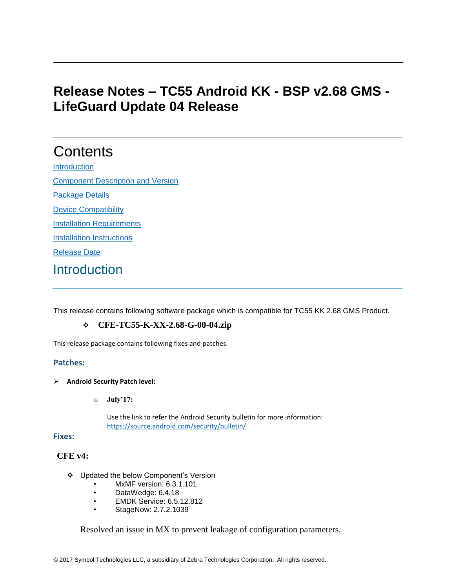# **Release Notes – TC55 Android KK - BSP v2.68 GMS - LifeGuard Update 04 Release**

# **Contents**

[Introduction](#page-0-0) **[Component Description and Version](#page-4-0)** 

[Package Details](#page-4-1)

[Device Compatibility](#page-4-2)

[Installation Requirements](#page-5-0)

[Installation Instructions](#page-5-1)

[Release Date](#page-6-0)

### <span id="page-0-0"></span>**Introduction**

This release contains following software package which is compatible for TC55 KK 2.68 GMS Product.

### ❖ **CFE-TC55-K-XX-2.68-G-00-04.zip**

This release package contains following fixes and patches.

#### **Patches:**

- ➢ **Android Security Patch level:**
	- o **July'17:**

Use the link to refer the Android Security bulletin for more information: <https://source.android.com/security/bulletin/>

**Fixes:**

#### **CFE v4:**

- ❖ Updated the below Component's Version
	- MxMF version: 6.3.1.101
	- DataWedge: 6.4.18
	- EMDK Service: 6.5.12.812
	- StageNow: 2.7.2.1039

Resolved an issue in MX to prevent leakage of configuration parameters.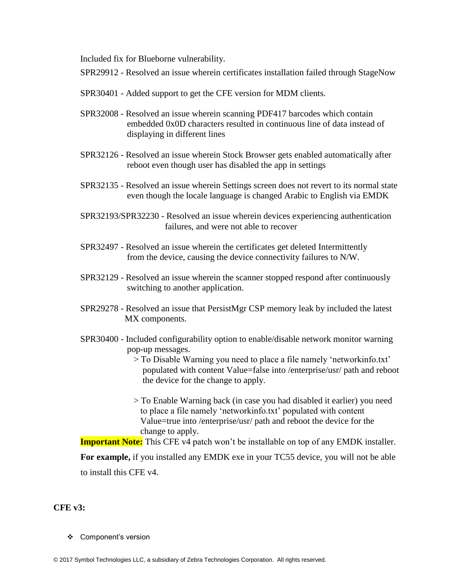Included fix for Blueborne vulnerability.

- SPR29912 Resolved an issue wherein certificates installation failed through StageNow
- SPR30401 Added support to get the CFE version for MDM clients.
- SPR32008 Resolved an issue wherein scanning PDF417 barcodes which contain embedded 0x0D characters resulted in continuous line of data instead of displaying in different lines
- SPR32126 Resolved an issue wherein Stock Browser gets enabled automatically after reboot even though user has disabled the app in settings
- SPR32135 Resolved an issue wherein Settings screen does not revert to its normal state even though the locale language is changed Arabic to English via EMDK
- SPR32193/SPR32230 Resolved an issue wherein devices experiencing authentication failures, and were not able to recover
- SPR32497 Resolved an issue wherein the certificates get deleted Intermittently from the device, causing the device connectivity failures to N/W.
- SPR32129 Resolved an issue wherein the scanner stopped respond after continuously switching to another application.
- SPR29278 Resolved an issue that PersistMgr CSP memory leak by included the latest MX components.
- SPR30400 Included configurability option to enable/disable network monitor warning pop-up messages.
	- > To Disable Warning you need to place a file namely 'networkinfo.txt' populated with content Value=false into /enterprise/usr/ path and reboot the device for the change to apply.
	- > To Enable Warning back (in case you had disabled it earlier) you need to place a file namely 'networkinfo.txt' populated with content Value=true into /enterprise/usr/ path and reboot the device for the change to apply.

**Important Note:** This CFE v4 patch won't be installable on top of any EMDK installer.

**For example,** if you installed any EMDK exe in your TC55 device, you will not be able to install this CFE v4.

#### **CFE v3:**

❖ Component's version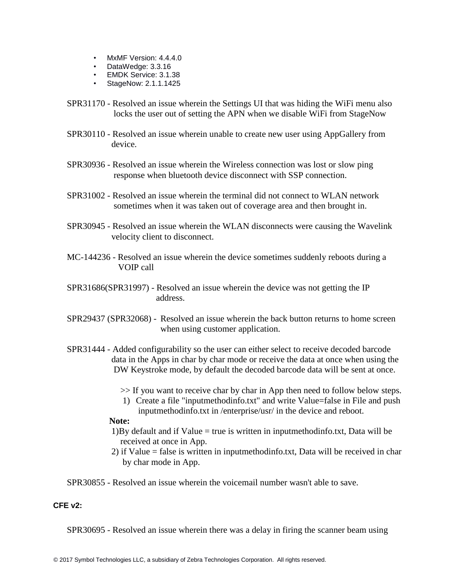- MxMF Version: 4.4.4.0
- DataWedge: 3.3.16
- EMDK Service: 3.1.38
- StageNow: 2.1.1.1425
- SPR31170 Resolved an issue wherein the Settings UI that was hiding the WiFi menu also locks the user out of setting the APN when we disable WiFi from StageNow
- SPR30110 Resolved an issue wherein unable to create new user using AppGallery from device.
- SPR30936 Resolved an issue wherein the Wireless connection was lost or slow ping response when bluetooth device disconnect with SSP connection.
- SPR31002 Resolved an issue wherein the terminal did not connect to WLAN network sometimes when it was taken out of coverage area and then brought in.
- SPR30945 Resolved an issue wherein the WLAN disconnects were causing the Wavelink velocity client to disconnect.
- MC-144236 Resolved an issue wherein the device sometimes suddenly reboots during a VOIP call
- SPR31686(SPR31997) Resolved an issue wherein the device was not getting the IP address.
- SPR29437 (SPR32068) Resolved an issue wherein the back button returns to home screen when using customer application.
- SPR31444 Added configurability so the user can either select to receive decoded barcode data in the Apps in char by char mode or receive the data at once when using the DW Keystroke mode, by default the decoded barcode data will be sent at once.
	- >> If you want to receive char by char in App then need to follow below steps.
	- 1) Create a file "inputmethodinfo.txt" and write Value=false in File and push inputmethodinfo.txt in /enterprise/usr/ in the device and reboot.

#### **Note:**

- 1)By default and if Value = true is written in inputmethodinfo.txt, Data will be received at once in App.
- 2) if Value = false is written in inputmethodinfo.txt, Data will be received in char by char mode in App.

SPR30855 - Resolved an issue wherein the voicemail number wasn't able to save.

#### **CFE v2:**

SPR30695 - Resolved an issue wherein there was a delay in firing the scanner beam using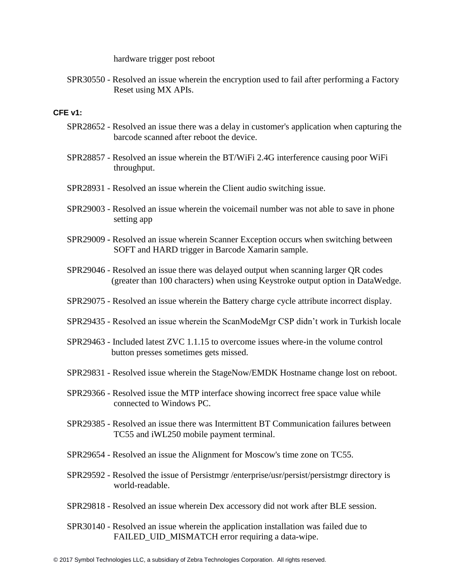hardware trigger post reboot

SPR30550 - Resolved an issue wherein the encryption used to fail after performing a Factory Reset using MX APIs.

#### **CFE v1:**

- SPR28652 Resolved an issue there was a delay in customer's application when capturing the barcode scanned after reboot the device.
- SPR28857 Resolved an issue wherein the BT/WiFi 2.4G interference causing poor WiFi throughput.
- SPR28931 Resolved an issue wherein the Client audio switching issue.
- SPR29003 Resolved an issue wherein the voicemail number was not able to save in phone setting app
- SPR29009 **-** Resolved an issue wherein Scanner Exception occurs when switching between SOFT and HARD trigger in Barcode Xamarin sample.
- SPR29046 Resolved an issue there was delayed output when scanning larger QR codes (greater than 100 characters) when using Keystroke output option in DataWedge.
- SPR29075 Resolved an issue wherein the Battery charge cycle attribute incorrect display.
- SPR29435 Resolved an issue wherein the ScanModeMgr CSP didn't work in Turkish locale
- SPR29463 Included latest ZVC 1.1.15 to overcome issues where-in the volume control button presses sometimes gets missed.
- SPR29831 Resolved issue wherein the StageNow/EMDK Hostname change lost on reboot.
- SPR29366 Resolved issue the MTP interface showing incorrect free space value while connected to Windows PC.
- SPR29385 Resolved an issue there was Intermittent BT Communication failures between TC55 and iWL250 mobile payment terminal.
- SPR29654 Resolved an issue the Alignment for Moscow's time zone on TC55.
- SPR29592 Resolved the issue of Persistmgr /enterprise/usr/persist/persistmgr directory is world-readable.
- SPR29818 Resolved an issue wherein Dex accessory did not work after BLE session.
- SPR30140 Resolved an issue wherein the application installation was failed due to FAILED UID MISMATCH error requiring a data-wipe.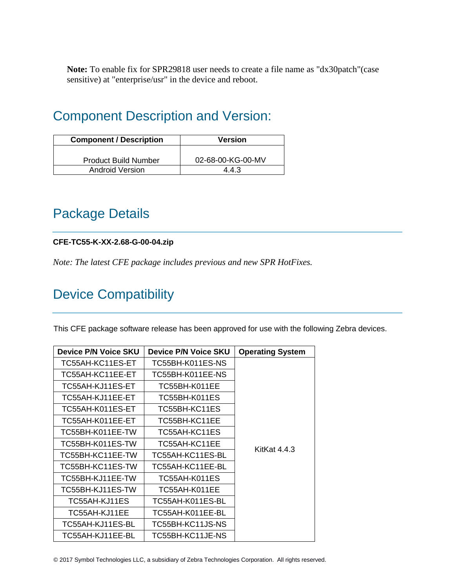**Note:** To enable fix for SPR29818 user needs to create a file name as "dx30patch"(case sensitive) at "enterprise/usr" in the device and reboot.

## <span id="page-4-0"></span>Component Description and Version:

| <b>Component / Description</b> | <b>Version</b>    |
|--------------------------------|-------------------|
| <b>Product Build Number</b>    | 02-68-00-KG-00-MV |
| Android Version                | 443               |

## <span id="page-4-1"></span>Package Details

### **CFE-TC55-K-XX-2.68-G-00-04.zip**

*Note: The latest CFE package includes previous and new SPR HotFixes.* 

# <span id="page-4-2"></span>Device Compatibility

This CFE package software release has been approved for use with the following Zebra devices.

| <b>Device P/N Voice SKU</b> | <b>Device P/N Voice SKU</b> | <b>Operating System</b> |
|-----------------------------|-----------------------------|-------------------------|
| TC55AH-KC11ES-ET            | TC55BH-K011ES-NS            |                         |
| TC55AH-KC11EE-ET            | TC55BH-K011EE-NS            |                         |
| TC55AH-KJ11ES-ET            | TC55BH-K011EE               |                         |
| TC55AH-KJ11EE-ET            | TC55BH-K011ES               |                         |
| TC55AH-K011ES-ET            | TC55BH-KC11ES               |                         |
| TC55AH-K011EE-ET            | TC55BH-KC11EE               |                         |
| TC55BH-K011EE-TW            | TC55AH-KC11ES               |                         |
| TC55BH-K011ES-TW            | TC55AH-KC11EE               | KitKat $4.4.3$          |
| TC55BH-KC11EE-TW            | TC55AH-KC11ES-BL            |                         |
| TC55BH-KC11ES-TW            | TC55AH-KC11EE-BL            |                         |
| TC55BH-KJ11EE-TW            | TC55AH-K011ES               |                         |
| TC55BH-KJ11ES-TW            | TC55AH-K011EE               |                         |
| TC55AH-KJ11ES               | TC55AH-K011ES-BL            |                         |
| TC55AH-KJ11EE               | TC55AH-K011EE-BL            |                         |
| TC55AH-KJ11ES-BL            | TC55BH-KC11JS-NS            |                         |
| TC55AH-KJ11EE-BL            | TC55BH-KC11JE-NS            |                         |

© 2017 Symbol Technologies LLC, a subsidiary of Zebra Technologies Corporation. All rights reserved.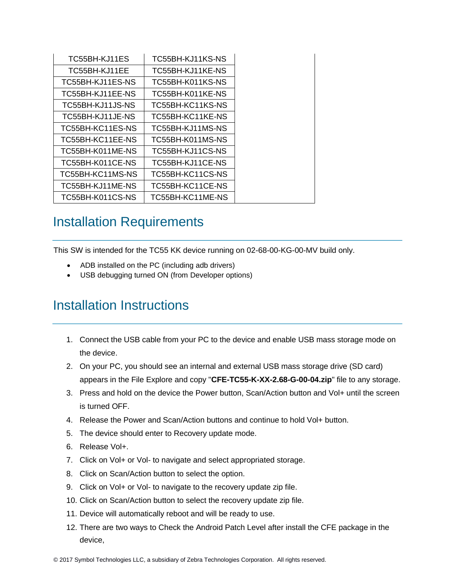| TC55BH-KJ11ES    | TC55BH-KJ11KS-NS |
|------------------|------------------|
| TC55BH-KJ11EE    | TC55BH-KJ11KE-NS |
| TC55BH-KJ11ES-NS | TC55BH-K011KS-NS |
| TC55BH-KJ11EE-NS | TC55BH-K011KE-NS |
| TC55BH-KJ11JS-NS | TC55BH-KC11KS-NS |
| TC55BH-KJ11JE-NS | TC55BH-KC11KE-NS |
| TC55BH-KC11ES-NS | TC55BH-KJ11MS-NS |
| TC55BH-KC11EE-NS | TC55BH-K011MS-NS |
| TC55BH-K011ME-NS | TC55BH-KJ11CS-NS |
| TC55BH-K011CE-NS | TC55BH-KJ11CE-NS |
| TC55BH-KC11MS-NS | TC55BH-KC11CS-NS |
| TC55BH-KJ11ME-NS | TC55BH-KC11CE-NS |
| TC55BH-K011CS-NS | TC55BH-KC11ME-NS |

### <span id="page-5-0"></span>Installation Requirements

This SW is intended for the TC55 KK device running on 02-68-00-KG-00-MV build only.

- ADB installed on the PC (including adb drivers)
- USB debugging turned ON (from Developer options)

## <span id="page-5-1"></span>Installation Instructions

- 1. Connect the USB cable from your PC to the device and enable USB mass storage mode on the device.
- 2. On your PC, you should see an internal and external USB mass storage drive (SD card) appears in the File Explore and copy "**CFE-TC55-K-XX-2.68-G-00-04.zip**" file to any storage.
- 3. Press and hold on the device the Power button, Scan/Action button and Vol+ until the screen is turned OFF.
- 4. Release the Power and Scan/Action buttons and continue to hold Vol+ button.
- 5. The device should enter to Recovery update mode.
- 6. Release Vol+.
- 7. Click on Vol+ or Vol- to navigate and select appropriated storage.
- 8. Click on Scan/Action button to select the option.
- 9. Click on Vol+ or Vol- to navigate to the recovery update zip file.
- 10. Click on Scan/Action button to select the recovery update zip file.
- 11. Device will automatically reboot and will be ready to use.
- 12. There are two ways to Check the Android Patch Level after install the CFE package in the device,